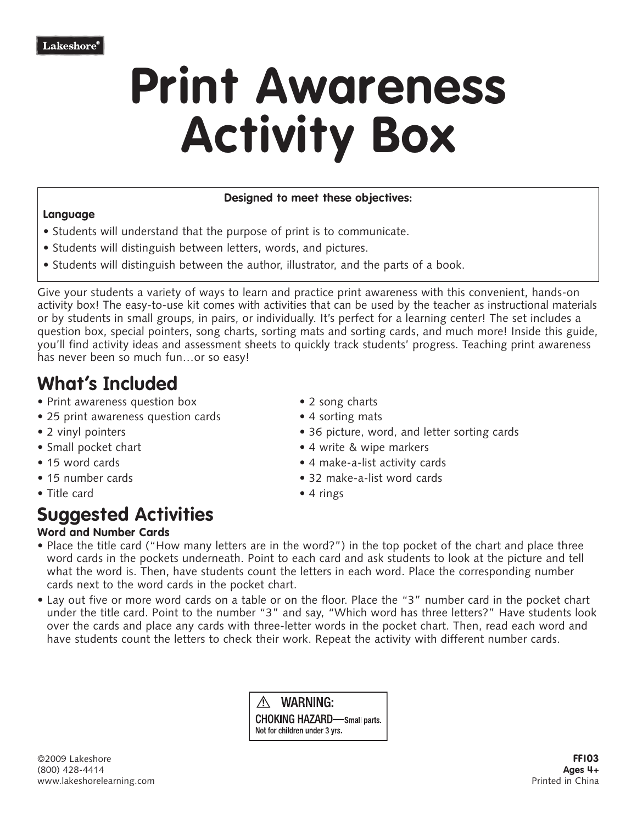# **Print Awareness Activity Box**

#### **Designed to meet these objectives:**

#### **Language**

- Students will understand that the purpose of print is to communicate.
- Students will distinguish between letters, words, and pictures.
- Students will distinguish between the author, illustrator, and the parts of a book.

Give your students a variety of ways to learn and practice print awareness with this convenient, hands-on activity box! The easy-to-use kit comes with activities that can be used by the teacher as instructional materials or by students in small groups, in pairs, or individually. It's perfect for a learning center! The set includes a question box, special pointers, song charts, sorting mats and sorting cards, and much more! Inside this guide, you'll find activity ideas and assessment sheets to quickly track students' progress. Teaching print awareness has never been so much fun…or so easy!

### **What's Included**

- Print awareness question box 2 song charts
- 25 print awareness question cards 4 sorting mats
- 
- 
- 
- 
- Title card 4 rings

## **Suggested Activities**

#### **Word and Number Cards**

- 
- 
- 2 vinyl pointers 36 picture, word, and letter sorting cards
- Small pocket chart  **4** write & wipe markers
- 15 word cards  **4 make-a-list activity cards**
- 15 number cards 32 make-a-list word cards
	-
- Place the title card ("How many letters are in the word?") in the top pocket of the chart and place three word cards in the pockets underneath. Point to each card and ask students to look at the picture and tell what the word is. Then, have students count the letters in each word. Place the corresponding number cards next to the word cards in the pocket chart.
- Lay out five or more word cards on a table or on the floor. Place the "3" number card in the pocket chart under the title card. Point to the number "3" and say, "Which word has three letters?" Have students look over the cards and place any cards with three-letter words in the pocket chart. Then, read each word and have students count the letters to check their work. Repeat the activity with different number cards.

 $\wedge$  WARNING: **CHOKING HAZARD**—Small parts. Not for children under 3 yrs.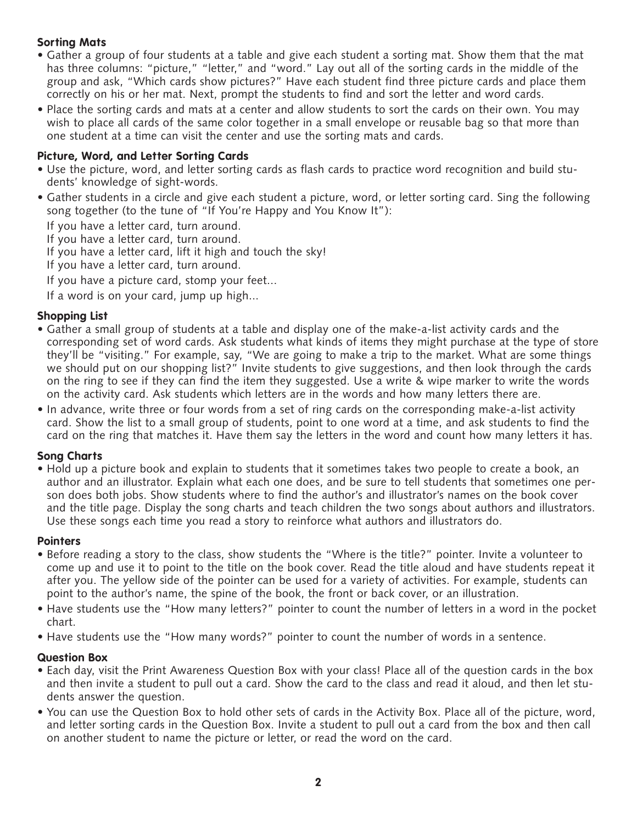#### **Sorting Mats**

- Gather a group of four students at a table and give each student a sorting mat. Show them that the mat has three columns: "picture," "letter," and "word." Lay out all of the sorting cards in the middle of the group and ask, "Which cards show pictures?" Have each student find three picture cards and place them correctly on his or her mat. Next, prompt the students to find and sort the letter and word cards.
- Place the sorting cards and mats at a center and allow students to sort the cards on their own. You may wish to place all cards of the same color together in a small envelope or reusable bag so that more than one student at a time can visit the center and use the sorting mats and cards.

#### **Picture, Word, and Letter Sorting Cards**

- Use the picture, word, and letter sorting cards as flash cards to practice word recognition and build students' knowledge of sight-words.
- Gather students in a circle and give each student a picture, word, or letter sorting card. Sing the following song together (to the tune of "If You're Happy and You Know It"):

If you have a letter card, turn around.

If you have a letter card, turn around.

- If you have a letter card, lift it high and touch the sky!
- If you have a letter card, turn around.
- If you have a picture card, stomp your feet...

If a word is on your card, jump up high...

#### **Shopping List**

- Gather a small group of students at a table and display one of the make-a-list activity cards and the corresponding set of word cards. Ask students what kinds of items they might purchase at the type of store they'll be "visiting." For example, say, "We are going to make a trip to the market. What are some things we should put on our shopping list?" Invite students to give suggestions, and then look through the cards on the ring to see if they can find the item they suggested. Use a write & wipe marker to write the words on the activity card. Ask students which letters are in the words and how many letters there are.
- In advance, write three or four words from a set of ring cards on the corresponding make-a-list activity card. Show the list to a small group of students, point to one word at a time, and ask students to find the card on the ring that matches it. Have them say the letters in the word and count how many letters it has.

#### **Song Charts**

• Hold up a picture book and explain to students that it sometimes takes two people to create a book, an author and an illustrator. Explain what each one does, and be sure to tell students that sometimes one person does both jobs. Show students where to find the author's and illustrator's names on the book cover and the title page. Display the song charts and teach children the two songs about authors and illustrators. Use these songs each time you read a story to reinforce what authors and illustrators do.

#### **Pointers**

- Before reading a story to the class, show students the "Where is the title?" pointer. Invite a volunteer to come up and use it to point to the title on the book cover. Read the title aloud and have students repeat it after you. The yellow side of the pointer can be used for a variety of activities. For example, students can point to the author's name, the spine of the book, the front or back cover, or an illustration.
- Have students use the "How many letters?" pointer to count the number of letters in a word in the pocket chart.
- Have students use the "How many words?" pointer to count the number of words in a sentence.

#### **Question Box**

- Each day, visit the Print Awareness Question Box with your class! Place all of the question cards in the box and then invite a student to pull out a card. Show the card to the class and read it aloud, and then let students answer the question.
- You can use the Question Box to hold other sets of cards in the Activity Box. Place all of the picture, word, and letter sorting cards in the Question Box. Invite a student to pull out a card from the box and then call on another student to name the picture or letter, or read the word on the card.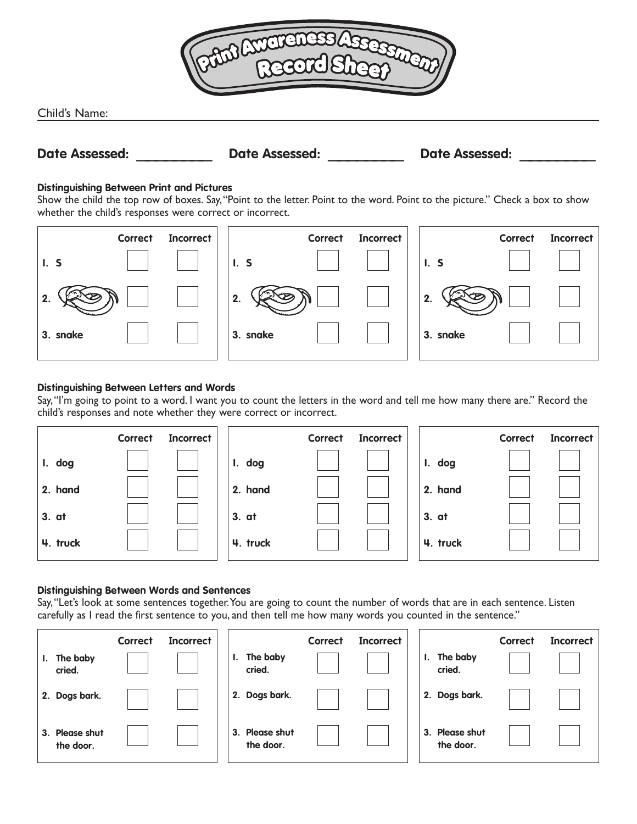

Child's Name:

## **Date Assessed: \_\_\_\_\_\_\_\_ Date Assessed: \_\_\_\_\_\_\_\_ Date Assessed: \_\_\_\_\_\_\_\_**

#### **Distinguishing Between Print and Pictures**

Show the child the top row of boxes. Say,"Point to the letter. Point to the word. Point to the picture." Check a box to show whether the child's responses were correct or incorrect.



#### **Distinguishing Between Letters and Words**

Say,"I'm going to point to a word. I want you to count the letters in the word and tell me how many there are." Record the child's responses and note whether they were correct or incorrect.

|          | <b>Correct</b> | <b>Incorrect</b> |          | <b>Correct</b> | <b>Incorrect</b> |          | <b>Correct</b> | <b>Incorrect</b> |
|----------|----------------|------------------|----------|----------------|------------------|----------|----------------|------------------|
| I. dog   |                |                  | I. dog   |                |                  | I. dog   |                |                  |
| 2. hand  |                |                  | 2. hand  |                |                  | 2. hand  |                |                  |
| 3. at    |                |                  | 3. at    |                |                  | 3. at    |                |                  |
| 4. truck |                |                  | 4. truck |                |                  | 4. truck |                |                  |

#### **Distinguishing Between Words and Sentences**

Say,"Let's look at some sentences together.You are going to count the number of words that are in each sentence. Listen carefully as I read the first sentence to you, and then tell me how many words you counted in the sentence."

|                             | <b>Correct</b> | <b>Incorrect</b> |    |                             | <b>Correct</b> | <b>Incorrect</b> |                             | <b>Correct</b> | <b>Incorrect</b> |
|-----------------------------|----------------|------------------|----|-----------------------------|----------------|------------------|-----------------------------|----------------|------------------|
| The baby<br>ı.<br>cried.    |                |                  | ι. | The baby<br>cried.          |                |                  | The baby<br>ь.<br>cried.    |                |                  |
| 2. Dogs bark.               |                |                  |    | 2. Dogs bark.               |                |                  | 2. Dogs bark.               |                |                  |
| 3. Please shut<br>the door. |                |                  |    | 3. Please shut<br>the door. |                |                  | 3. Please shut<br>the door. |                |                  |